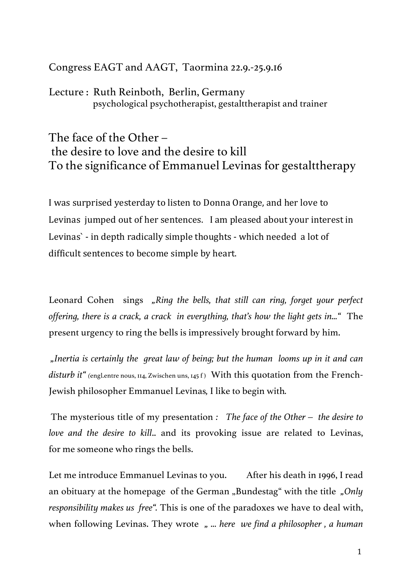# Congress EAGT and AAGT, Taormina 22.9.-25.9.16

Lecture : Ruth Reinboth, Berlin, Germany psychological psychotherapist, gestalttherapist and trainer

The face of the Other – the desire to love and the desire to kill To the significance of Emmanuel Levinas for gestalttherapy

I was surprised yesterday to listen to Donna Orange, and her love to Levinas jumped out of her sentences. I am pleased about your interest in Levinas' - in depth radically simple thoughts - which needed a lot of difficult sentences to become simple by heart.

Leonard Cohen sings "Ring the bells, that still can ring, forget your perfect *offering, there is a crack, a crack in everything, that's how the light gets in..."* The present urgency to ring the bells is impressively brought forward by him.

*"Inertia is certainly the great law of being; but the human looms up in it and can*  disturb it" (englentre nous, 114, Zwischen uns, 145 f) With this quotation from the French-Jewish philosopher Emmanuel Levinas*,* I like to begin with*.*

The mysterious title of my presentation *: The face of the Other – the desire to love and the desire to kill..* and its provoking issue are related to Levinas, for me someone who rings the bells.

Let me introduce Emmanuel Levinas to you. After his death in 1996, I read an obituary at the homepage of the German "Bundestag" with the title "*Only responsibility makes us free".* This is one of the paradoxes we have to deal with, when following Levinas. They wrote *" ... here we find a philosopher*, *a human*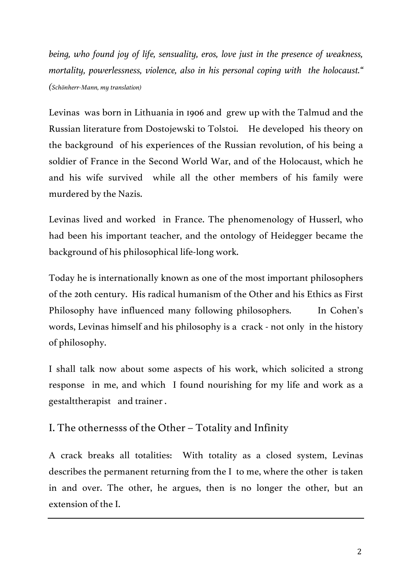*being, who found joy of life, sensuality, eros, love just in the presence of weakness, mortality, powerlessness, violence, also in his personal coping with the holocaust." (Schönherr-Mann, my translation)*

Levinas was born in Lithuania in 1906 and grew up with the Talmud and the Russian literature from Dostojewski to Tolstoi. He developed his theory on the background of his experiences of the Russian revolution, of his being a soldier of France in the Second World War, and of the Holocaust, which he and his wife survived while all the other members of his family were murdered by the Nazis.

Levinas lived and worked in France. The phenomenology of Husserl, who had been his important teacher, and the ontology of Heidegger became the background of his philosophical life-long work.

Today he is internationally known as one of the most important philosophers of the 20th century. His radical humanism of the Other and his Ethics as First Philosophy have influenced many following philosophers. In Cohen's words, Levinas himself and his philosophy is a crack - not only in the history of philosophy.

I shall talk now about some aspects of his work, which solicited a strong response in me, and which I found nourishing for my life and work as a gestalttherapist and trainer .

### I. The othernesss of the Other – Totality and Infinity

A crack breaks all totalities: With totality as a closed system, Levinas describes the permanent returning from the I to me, where the other is taken in and over. The other, he argues, then is no longer the other, but an extension of the I.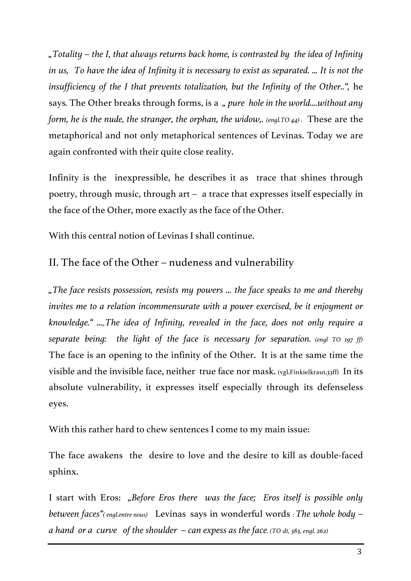*"Totality – the I, that always returns back home, is contrasted by the idea of Infinity in us, To have the idea of Infinity it is necessary to exist as separated. ... It is not the insufficiency of the I that prevents totalization, but the Infinity of the Other..",* he says*.* The Other breaks through forms, is a *" pure hole in the world....without any form, he is the nude, the stranger, the orphan, the widow,. (engl.TO 44) .* These are the metaphorical and not only metaphorical sentences of Levinas. Today we are again confronted with their quite close reality.

Infinity is the inexpressible, he describes it as trace that shines through poetry, through music, through art – a trace that expresses itself especially in the face of the Other, more exactly as the face of the Other.

With this central notion of Levinas I shall continue.

## II. The face of the Other – nudeness and vulnerability

*"The face resists possession, resists my powers ... the face speaks to me and thereby invites me to a relation incommensurate with a power exercised, be it enjoyment or knowledge." ..."The idea of Infinity, revealed in the face, does not only require a separate being: the light of the face is necessary for separation. (engl TO 197 ff)*  The face is an opening to the infinity of the Other. It is at the same time the visible and the invisible face, neither true face nor mask. (vgl.Finkielkraut,33ff) In its absolute vulnerability, it expresses itself especially through its defenseless eyes.

With this rather hard to chew sentences I come to my main issue:

The face awakens the desire to love and the desire to kill as double-faced sphinx.

I start with Eros: *"Before Eros there was the face; Eros itself is possible only between faces"( engl.entre nous)* Levinas says in wonderful words *: The whole body – a hand or a curve of the shoulder – can expess as the face. (TO dt, 383, engl. 262)*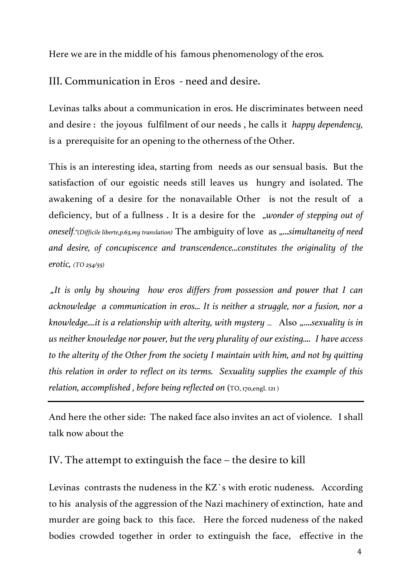Here we are in the middle of his famous phenomenology of the eros*.*

III. Communication in Eros - need and desire.

Levinas talks about a communication in eros. He discriminates between need and desire : the joyous fulfilment of our needs , he calls it *happy dependency,*  is a prerequisite for an opening to the otherness of the Other.

This is an interesting idea, starting from needs as our sensual basis. But the satisfaction of our egoistic needs still leaves us hungry and isolated. The awakening of a desire for the nonavailable Other is not the result of a deficiency, but of a fullness . It is a desire for the "*wonder of stepping out of oneself."(Difficile liberte,p.63,my translation)* The ambiguity of love as "...*simultaneity of need and desire, of concupiscence and transcendence...constitutes the originality of the erotic, (TO 254/55)* 

*"It is only by showing how eros differs from possession and power that I can acknowledge a communication in eros... It is neither a struggle, nor a fusion, nor a knowledge....it is a relationship with alterity, with mystery ...* Also *.....sexuality is in us neither knowledge nor power, but the very plurality of our existing.... I have access to the alterity of the Other from the society I maintain with him, and not by quitting this relation in order to reflect on its terms. Sexuality supplies the example of this relation, accomplished, before being reflected on (TO, 170, engl. 121)* 

And here the other side: The naked face also invites an act of violence. I shall talk now about the

### IV. The attempt to extinguish the face – the desire to kill

Levinas contrasts the nudeness in the KZ`s with erotic nudeness. According to his analysis of the aggression of the Nazi machinery of extinction, hate and murder are going back to this face. Here the forced nudeness of the naked bodies crowded together in order to extinguish the face, effective in the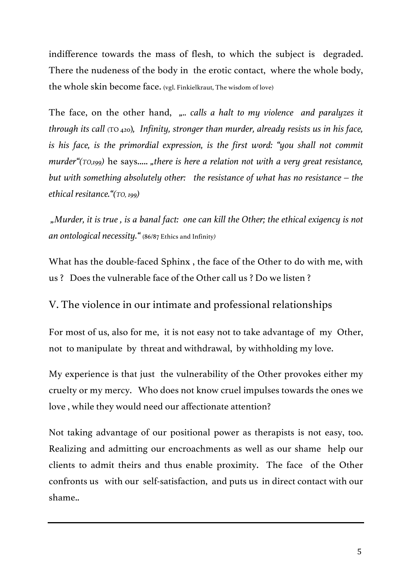indifference towards the mass of flesh, to which the subject is degraded. There the nudeness of the body in the erotic contact, where the whole body, the whole skin become face. (vgl. Finkielkraut, The wisdom of love)

The face, on the other hand, "... *calls a halt to my violence and paralyzes it through its call* (TO 420)*, Infinity, stronger than murder, already resists us in his face,*  is his face, is the primordial expression, is the first word: "you shall not commit *murder*"(TO,199) he says....., *there is here a relation not with a very great resistance, but with something absolutely other: the resistance of what has no resistance – the ethical resitance."(TO, 199)*

*"Murder, it is true , is a banal fact: one can kill the Other; the ethical exigency is not an ontological necessity."* (86/87 Ethics and Infinity*)* 

What has the double-faced Sphinx , the face of the Other to do with me, with us ? Does the vulnerable face of the Other call us ? Do we listen ?

### V. The violence in our intimate and professional relationships

For most of us, also for me, it is not easy not to take advantage of my Other, not to manipulate by threat and withdrawal, by withholding my love.

My experience is that just the vulnerability of the Other provokes either my cruelty or my mercy. Who does not know cruel impulses towards the ones we love , while they would need our affectionate attention?

Not taking advantage of our positional power as therapists is not easy, too. Realizing and admitting our encroachments as well as our shame help our clients to admit theirs and thus enable proximity. The face of the Other confronts us with our self-satisfaction, and puts us in direct contact with our shame..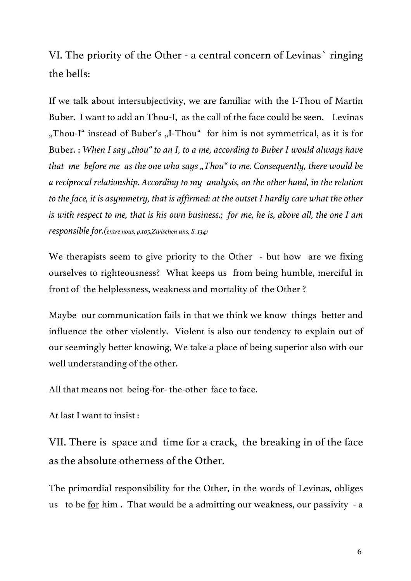VI. The priority of the Other - a central concern of Levinas**`** ringing the bells:

If we talk about intersubjectivity, we are familiar with the I-Thou of Martin Buber. I want to add an Thou-I, as the call of the face could be seen. Levinas "Thou-I" instead of Buber's "I-Thou" for him is not symmetrical, as it is for Buber. : When I say "thou" to an I, to a me, according to Buber I would always have *that me before me as the one who says* "Thou" to me. Consequently, there would be *a reciprocal relationship. According to my analysis, on the other hand, in the relation to the face, it is asymmetry, that is affirmed: at the outset I hardly care what the other is with respect to me, that is his own business.; for me, he is, above all, the one I am responsible for.(entre nous, p.105,Zwischen uns, S. 134)*

We therapists seem to give priority to the Other - but how are we fixing ourselves to righteousness? What keeps us from being humble, merciful in front of the helplessness, weakness and mortality of the Other ?

Maybe our communication fails in that we think we know things better and influence the other violently. Violent is also our tendency to explain out of our seemingly better knowing, We take a place of being superior also with our well understanding of the other.

All that means not being-for- the-other face to face.

At last I want to insist :

VII. There is space and time for a crack, the breaking in of the face as the absolute otherness of the Other.

The primordial responsibility for the Other, in the words of Levinas, obliges us to be for him . That would be a admitting our weakness, our passivity - a